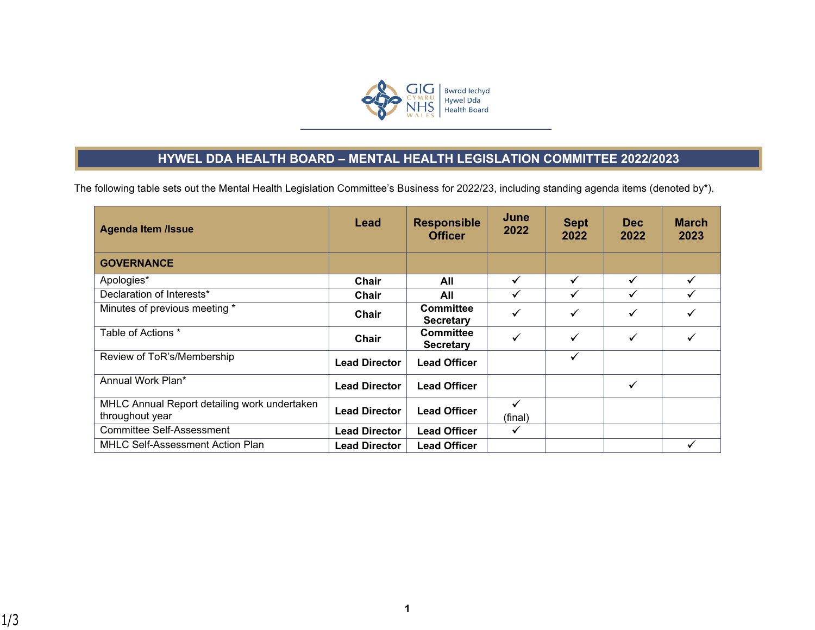

## **HYWEL DDA HEALTH BOARD – MENTAL HEALTH LEGISLATION COMMITTEE 2022/2023**

The following table sets out the Mental Health Legislation Committee's Business for 2022/23, including standing agenda items (denoted by\*).

| <b>Agenda Item /Issue</b>                                       | Lead                 | <b>Responsible</b><br><b>Officer</b> | June<br>2022 | <b>Sept</b><br>2022 | Dec:<br>2022 | <b>March</b><br>2023 |
|-----------------------------------------------------------------|----------------------|--------------------------------------|--------------|---------------------|--------------|----------------------|
| <b>GOVERNANCE</b>                                               |                      |                                      |              |                     |              |                      |
| Apologies*                                                      | Chair                | All                                  | $\checkmark$ | $\checkmark$        | ✓            | $\checkmark$         |
| Declaration of Interests*                                       | Chair                | All                                  | ✓            |                     | ✓            |                      |
| Minutes of previous meeting *                                   | Chair                | <b>Committee</b><br><b>Secretary</b> | $\checkmark$ | ✓                   | ✓            |                      |
| Table of Actions *                                              | Chair                | <b>Committee</b><br><b>Secretary</b> | $\checkmark$ | ✓                   | ✓            |                      |
| Review of ToR's/Membership                                      | <b>Lead Director</b> | <b>Lead Officer</b>                  |              | $\checkmark$        |              |                      |
| Annual Work Plan*                                               | <b>Lead Director</b> | <b>Lead Officer</b>                  |              |                     | ✓            |                      |
| MHLC Annual Report detailing work undertaken<br>throughout year | <b>Lead Director</b> | <b>Lead Officer</b>                  | ✓<br>(final) |                     |              |                      |
| <b>Committee Self-Assessment</b>                                | <b>Lead Director</b> | <b>Lead Officer</b>                  | ✓            |                     |              |                      |
| <b>MHLC Self-Assessment Action Plan</b>                         | <b>Lead Director</b> | <b>Lead Officer</b>                  |              |                     |              |                      |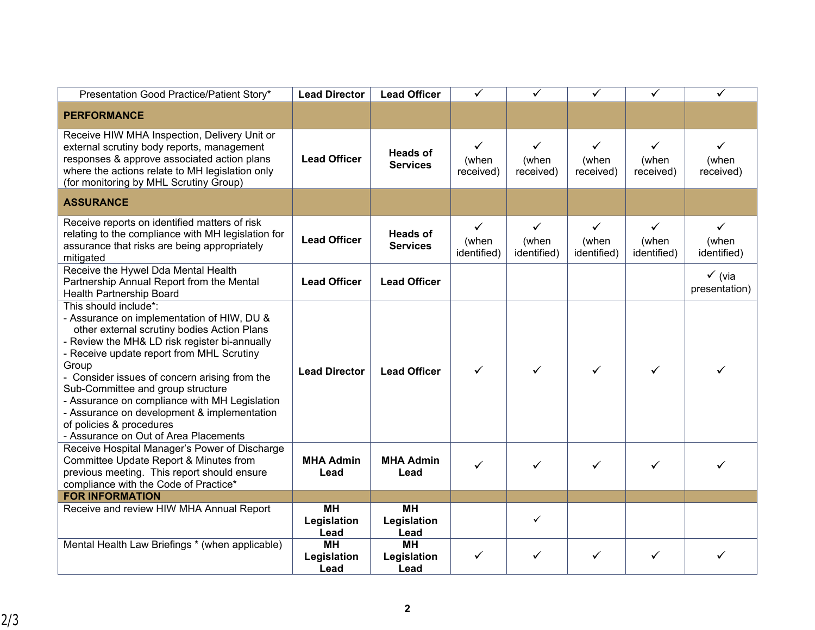| Presentation Good Practice/Patient Story*                                                                                                                                                                                                                                                                                                                                                                                                                                            | <b>Lead Director</b>             | <b>Lead Officer</b>                | $\checkmark$                         | ✓                                  | ✓                                  | ✓                                  | ✓                                  |
|--------------------------------------------------------------------------------------------------------------------------------------------------------------------------------------------------------------------------------------------------------------------------------------------------------------------------------------------------------------------------------------------------------------------------------------------------------------------------------------|----------------------------------|------------------------------------|--------------------------------------|------------------------------------|------------------------------------|------------------------------------|------------------------------------|
| <b>PERFORMANCE</b>                                                                                                                                                                                                                                                                                                                                                                                                                                                                   |                                  |                                    |                                      |                                    |                                    |                                    |                                    |
| Receive HIW MHA Inspection, Delivery Unit or<br>external scrutiny body reports, management<br>responses & approve associated action plans<br>where the actions relate to MH legislation only<br>(for monitoring by MHL Scrutiny Group)                                                                                                                                                                                                                                               | <b>Lead Officer</b>              | <b>Heads of</b><br><b>Services</b> | $\checkmark$<br>(when<br>received)   | $\checkmark$<br>(when<br>received) | $\checkmark$<br>(when<br>received) | $\checkmark$<br>(when<br>received) | ✓<br>(when<br>received)            |
| <b>ASSURANCE</b>                                                                                                                                                                                                                                                                                                                                                                                                                                                                     |                                  |                                    |                                      |                                    |                                    |                                    |                                    |
| Receive reports on identified matters of risk<br>relating to the compliance with MH legislation for<br>assurance that risks are being appropriately<br>mitigated                                                                                                                                                                                                                                                                                                                     | <b>Lead Officer</b>              | <b>Heads of</b><br><b>Services</b> | $\checkmark$<br>(when<br>identified) | ✓<br>(when<br>identified)          | ✓<br>(when<br>identified)          | ✓<br>(when<br>identified)          | ✓<br>(when<br>identified)          |
| Receive the Hywel Dda Mental Health<br>Partnership Annual Report from the Mental<br>Health Partnership Board                                                                                                                                                                                                                                                                                                                                                                         | <b>Lead Officer</b>              | <b>Lead Officer</b>                |                                      |                                    |                                    |                                    | $\checkmark$ (via<br>presentation) |
| This should include*:<br>- Assurance on implementation of HIW, DU &<br>other external scrutiny bodies Action Plans<br>- Review the MH& LD risk register bi-annually<br>- Receive update report from MHL Scrutiny<br>Group<br>- Consider issues of concern arising from the<br>Sub-Committee and group structure<br>- Assurance on compliance with MH Legislation<br>- Assurance on development & implementation<br>of policies & procedures<br>- Assurance on Out of Area Placements | <b>Lead Director</b>             | <b>Lead Officer</b>                | $\checkmark$                         | ✓                                  | ✓                                  | ✓                                  |                                    |
| Receive Hospital Manager's Power of Discharge<br>Committee Update Report & Minutes from<br>previous meeting. This report should ensure<br>compliance with the Code of Practice*                                                                                                                                                                                                                                                                                                      | <b>MHA Admin</b><br>Lead         | <b>MHA Admin</b><br>Lead           | $\checkmark$                         | ✓                                  | ✓                                  |                                    |                                    |
| <b>FOR INFORMATION</b>                                                                                                                                                                                                                                                                                                                                                                                                                                                               |                                  |                                    |                                      |                                    |                                    |                                    |                                    |
| Receive and review HIW MHA Annual Report                                                                                                                                                                                                                                                                                                                                                                                                                                             | <b>MH</b><br>Legislation<br>Lead | <b>MH</b><br>Legislation<br>Lead   |                                      | ✓                                  |                                    |                                    |                                    |
| Mental Health Law Briefings * (when applicable)                                                                                                                                                                                                                                                                                                                                                                                                                                      | <b>MH</b><br>Legislation<br>Lead | <b>MH</b><br>Legislation<br>Lead   | $\checkmark$                         | ✓                                  | ✓                                  | ✓                                  |                                    |